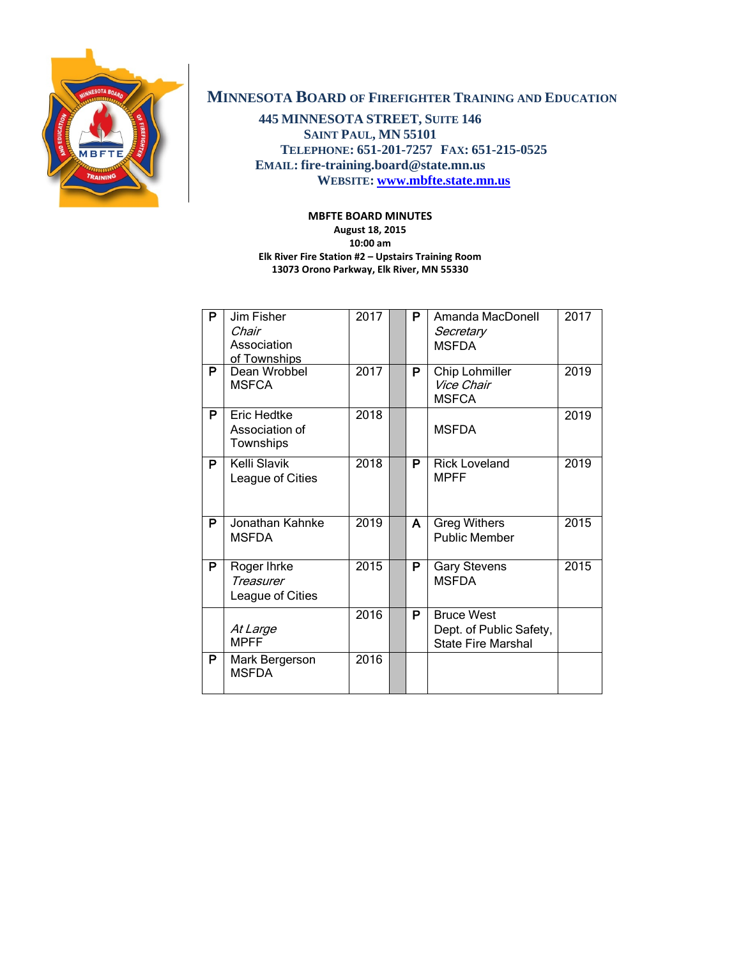

# **MINNESOTA BOARD OF FIREFIGHTER TRAINING AND EDUCATION**

**445 MINNESOTA STREET, SUITE 146 SAINT PAUL, MN 55101 TELEPHONE: 651-201-7257 FAX: 651-215-0525 EMAIL: fire-training.board@state.mn.us WEBSITE: [www.mbfte.state.mn.us](http://www.mbfte.state.mn.us/)**

### **MBFTE BOARD MINUTES**

**August 18, 2015 10:00 am Elk River Fire Station #2 – Upstairs Training Room 13073 Orono Parkway, Elk River, MN 55330**

| P | Jim Fisher<br>Chair<br>Association<br>of Townships | 2017 | P | Amanda MacDonell<br>Secretary<br><b>MSFDA</b>                             | 2017 |
|---|----------------------------------------------------|------|---|---------------------------------------------------------------------------|------|
| P | Dean Wrobbel<br><b>MSFCA</b>                       | 2017 | P | Chip Lohmiller<br>Vice Chair<br><b>MSFCA</b>                              | 2019 |
| P | Eric Hedtke<br>Association of<br>Townships         | 2018 |   | <b>MSFDA</b>                                                              | 2019 |
| P | Kelli Slavik<br>League of Cities                   | 2018 | P | <b>Rick Loveland</b><br><b>MPFF</b>                                       | 2019 |
| P | Jonathan Kahnke<br><b>MSFDA</b>                    | 2019 | A | <b>Greg Withers</b><br><b>Public Member</b>                               | 2015 |
| P | Roger Ihrke<br>Treasurer<br>League of Cities       | 2015 | P | <b>Gary Stevens</b><br><b>MSFDA</b>                                       | 2015 |
|   | At Large<br><b>MPFF</b>                            | 2016 | P | <b>Bruce West</b><br>Dept. of Public Safety,<br><b>State Fire Marshal</b> |      |
| P | Mark Bergerson<br><b>MSFDA</b>                     | 2016 |   |                                                                           |      |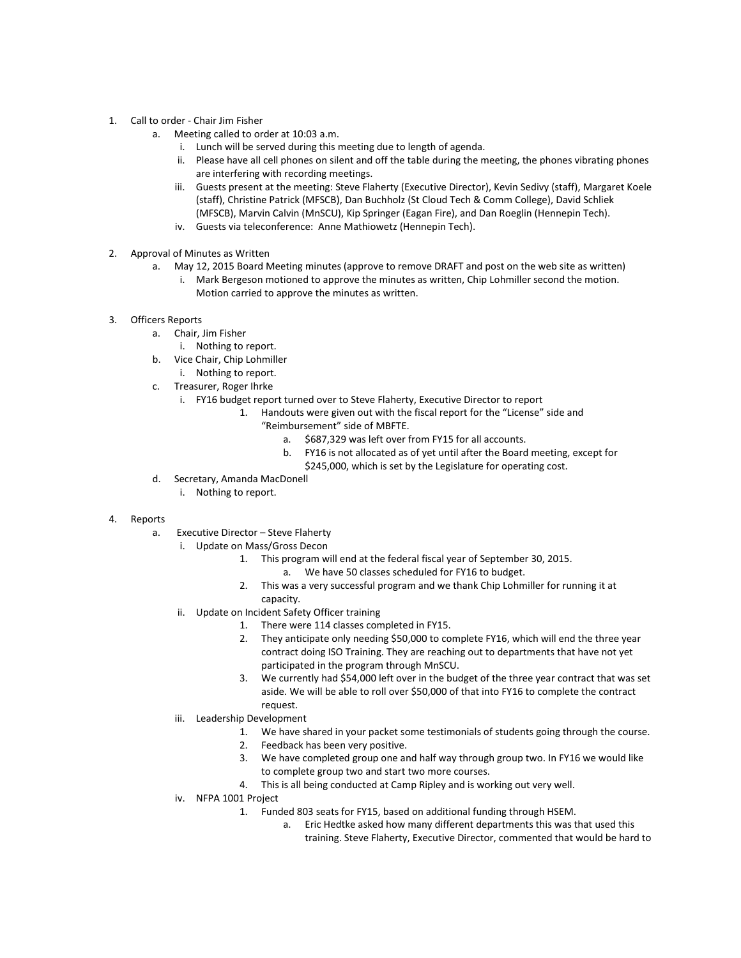- 1. Call to order Chair Jim Fisher
	- a. Meeting called to order at 10:03 a.m.
		- i. Lunch will be served during this meeting due to length of agenda.
		- ii. Please have all cell phones on silent and off the table during the meeting, the phones vibrating phones are interfering with recording meetings.
		- iii. Guests present at the meeting: Steve Flaherty (Executive Director), Kevin Sedivy (staff), Margaret Koele (staff), Christine Patrick (MFSCB), Dan Buchholz (St Cloud Tech & Comm College), David Schliek (MFSCB), Marvin Calvin (MnSCU), Kip Springer (Eagan Fire), and Dan Roeglin (Hennepin Tech).
		- iv. Guests via teleconference: Anne Mathiowetz (Hennepin Tech).
- 2. Approval of Minutes as Written
	- a. May 12, 2015 Board Meeting minutes (approve to remove DRAFT and post on the web site as written)
		- i. Mark Bergeson motioned to approve the minutes as written, Chip Lohmiller second the motion. Motion carried to approve the minutes as written.
- 3. Officers Reports
	- a. Chair, Jim Fisher
		- i. Nothing to report.
	- b. Vice Chair, Chip Lohmiller
		- i. Nothing to report.
	- c. Treasurer, Roger Ihrke
		- i. FY16 budget report turned over to Steve Flaherty, Executive Director to report
			- 1. Handouts were given out with the fiscal report for the "License" side and "Reimbursement" side of MBFTE.
				- a. \$687,329 was left over from FY15 for all accounts.
				- b. FY16 is not allocated as of yet until after the Board meeting, except for \$245,000, which is set by the Legislature for operating cost.
	- d. Secretary, Amanda MacDonell
		- i. Nothing to report.
- 4. Reports
	- a. Executive Director Steve Flaherty
		- i. Update on Mass/Gross Decon
			- 1. This program will end at the federal fiscal year of September 30, 2015.
				- a. We have 50 classes scheduled for FY16 to budget.
			- 2. This was a very successful program and we thank Chip Lohmiller for running it at
			- capacity.
		- ii. Update on Incident Safety Officer training
			- 1. There were 114 classes completed in FY15.
			- 2. They anticipate only needing \$50,000 to complete FY16, which will end the three year contract doing ISO Training. They are reaching out to departments that have not yet participated in the program through MnSCU.
			- 3. We currently had \$54,000 left over in the budget of the three year contract that was set aside. We will be able to roll over \$50,000 of that into FY16 to complete the contract request.
		- iii. Leadership Development
			- 1. We have shared in your packet some testimonials of students going through the course.
			- 2. Feedback has been very positive.
			- 3. We have completed group one and half way through group two. In FY16 we would like to complete group two and start two more courses.
			- 4. This is all being conducted at Camp Ripley and is working out very well.
		- iv. NFPA 1001 Project
			- 1. Funded 803 seats for FY15, based on additional funding through HSEM.
				- a. Eric Hedtke asked how many different departments this was that used this training. Steve Flaherty, Executive Director, commented that would be hard to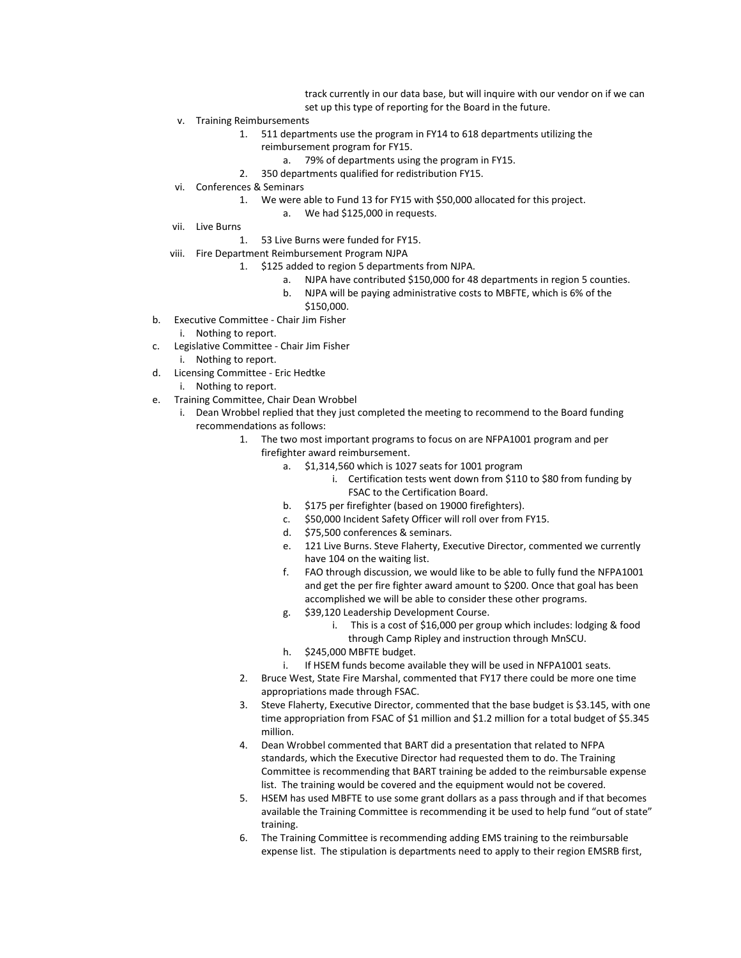track currently in our data base, but will inquire with our vendor on if we can set up this type of reporting for the Board in the future.

- v. Training Reimbursements
	- 1. 511 departments use the program in FY14 to 618 departments utilizing the reimbursement program for FY15.
		- a. 79% of departments using the program in FY15.
		- 2. 350 departments qualified for redistribution FY15.
- vi. Conferences & Seminars
	- 1. We were able to Fund 13 for FY15 with \$50,000 allocated for this project.
		- a. We had \$125,000 in requests.
- vii. Live Burns
	- 1. 53 Live Burns were funded for FY15.
- viii. Fire Department Reimbursement Program NJPA
	- 1. \$125 added to region 5 departments from NJPA.
		- a. NJPA have contributed \$150,000 for 48 departments in region 5 counties.
		- b. NJPA will be paying administrative costs to MBFTE, which is 6% of the \$150,000.
- b. Executive Committee Chair Jim Fisher
- i. Nothing to report.
- c. Legislative Committee Chair Jim Fisher i. Nothing to report.
- d. Licensing Committee Eric Hedtke
	- i. Nothing to report.
- e. Training Committee, Chair Dean Wrobbel
	- i. Dean Wrobbel replied that they just completed the meeting to recommend to the Board funding recommendations as follows:
		- 1. The two most important programs to focus on are NFPA1001 program and per firefighter award reimbursement.
			- a. \$1,314,560 which is 1027 seats for 1001 program
				- i. Certification tests went down from \$110 to \$80 from funding by FSAC to the Certification Board.
			- b. \$175 per firefighter (based on 19000 firefighters).
			- c. \$50,000 Incident Safety Officer will roll over from FY15.
			- d. \$75,500 conferences & seminars.
			- e. 121 Live Burns. Steve Flaherty, Executive Director, commented we currently have 104 on the waiting list.
			- f. FAO through discussion, we would like to be able to fully fund the NFPA1001 and get the per fire fighter award amount to \$200. Once that goal has been accomplished we will be able to consider these other programs.
			- g. \$39,120 Leadership Development Course.
				- i. This is a cost of \$16,000 per group which includes: lodging & food through Camp Ripley and instruction through MnSCU.
			- h. \$245,000 MBFTE budget.
			- i. If HSEM funds become available they will be used in NFPA1001 seats.
		- 2. Bruce West, State Fire Marshal, commented that FY17 there could be more one time appropriations made through FSAC.
		- 3. Steve Flaherty, Executive Director, commented that the base budget is \$3.145, with one time appropriation from FSAC of \$1 million and \$1.2 million for a total budget of \$5.345 million.
		- 4. Dean Wrobbel commented that BART did a presentation that related to NFPA standards, which the Executive Director had requested them to do. The Training Committee is recommending that BART training be added to the reimbursable expense list. The training would be covered and the equipment would not be covered.
		- 5. HSEM has used MBFTE to use some grant dollars as a pass through and if that becomes available the Training Committee is recommending it be used to help fund "out of state" training.
		- 6. The Training Committee is recommending adding EMS training to the reimbursable expense list. The stipulation is departments need to apply to their region EMSRB first,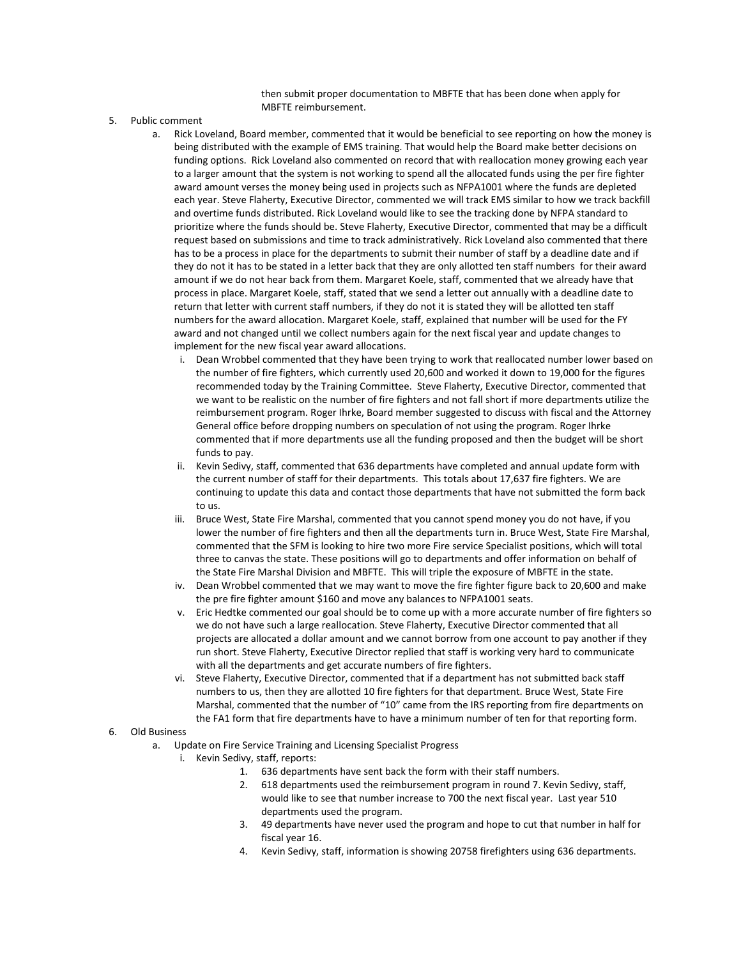then submit proper documentation to MBFTE that has been done when apply for MBFTE reimbursement.

- 5. Public comment
	- a. Rick Loveland, Board member, commented that it would be beneficial to see reporting on how the money is being distributed with the example of EMS training. That would help the Board make better decisions on funding options. Rick Loveland also commented on record that with reallocation money growing each year to a larger amount that the system is not working to spend all the allocated funds using the per fire fighter award amount verses the money being used in projects such as NFPA1001 where the funds are depleted each year. Steve Flaherty, Executive Director, commented we will track EMS similar to how we track backfill and overtime funds distributed. Rick Loveland would like to see the tracking done by NFPA standard to prioritize where the funds should be. Steve Flaherty, Executive Director, commented that may be a difficult request based on submissions and time to track administratively. Rick Loveland also commented that there has to be a process in place for the departments to submit their number of staff by a deadline date and if they do not it has to be stated in a letter back that they are only allotted ten staff numbers for their award amount if we do not hear back from them. Margaret Koele, staff, commented that we already have that process in place. Margaret Koele, staff, stated that we send a letter out annually with a deadline date to return that letter with current staff numbers, if they do not it is stated they will be allotted ten staff numbers for the award allocation. Margaret Koele, staff, explained that number will be used for the FY award and not changed until we collect numbers again for the next fiscal year and update changes to implement for the new fiscal year award allocations.
		- i. Dean Wrobbel commented that they have been trying to work that reallocated number lower based on the number of fire fighters, which currently used 20,600 and worked it down to 19,000 for the figures recommended today by the Training Committee. Steve Flaherty, Executive Director, commented that we want to be realistic on the number of fire fighters and not fall short if more departments utilize the reimbursement program. Roger Ihrke, Board member suggested to discuss with fiscal and the Attorney General office before dropping numbers on speculation of not using the program. Roger Ihrke commented that if more departments use all the funding proposed and then the budget will be short funds to pay.
		- Kevin Sedivy, staff, commented that 636 departments have completed and annual update form with the current number of staff for their departments. This totals about 17,637 fire fighters. We are continuing to update this data and contact those departments that have not submitted the form back to us.
		- iii. Bruce West, State Fire Marshal, commented that you cannot spend money you do not have, if you lower the number of fire fighters and then all the departments turn in. Bruce West, State Fire Marshal, commented that the SFM is looking to hire two more Fire service Specialist positions, which will total three to canvas the state. These positions will go to departments and offer information on behalf of the State Fire Marshal Division and MBFTE. This will triple the exposure of MBFTE in the state.
		- iv. Dean Wrobbel commented that we may want to move the fire fighter figure back to 20,600 and make the pre fire fighter amount \$160 and move any balances to NFPA1001 seats.
		- v. Eric Hedtke commented our goal should be to come up with a more accurate number of fire fighters so we do not have such a large reallocation. Steve Flaherty, Executive Director commented that all projects are allocated a dollar amount and we cannot borrow from one account to pay another if they run short. Steve Flaherty, Executive Director replied that staff is working very hard to communicate with all the departments and get accurate numbers of fire fighters.
		- vi. Steve Flaherty, Executive Director, commented that if a department has not submitted back staff numbers to us, then they are allotted 10 fire fighters for that department. Bruce West, State Fire Marshal, commented that the number of "10" came from the IRS reporting from fire departments on the FA1 form that fire departments have to have a minimum number of ten for that reporting form.

#### 6. Old Business

- a. Update on Fire Service Training and Licensing Specialist Progress
	- i. Kevin Sedivy, staff, reports:
		- 1. 636 departments have sent back the form with their staff numbers.
		- 2. 618 departments used the reimbursement program in round 7. Kevin Sedivy, staff, would like to see that number increase to 700 the next fiscal year. Last year 510 departments used the program.
		- 3. 49 departments have never used the program and hope to cut that number in half for fiscal year 16.
		- 4. Kevin Sedivy, staff, information is showing 20758 firefighters using 636 departments.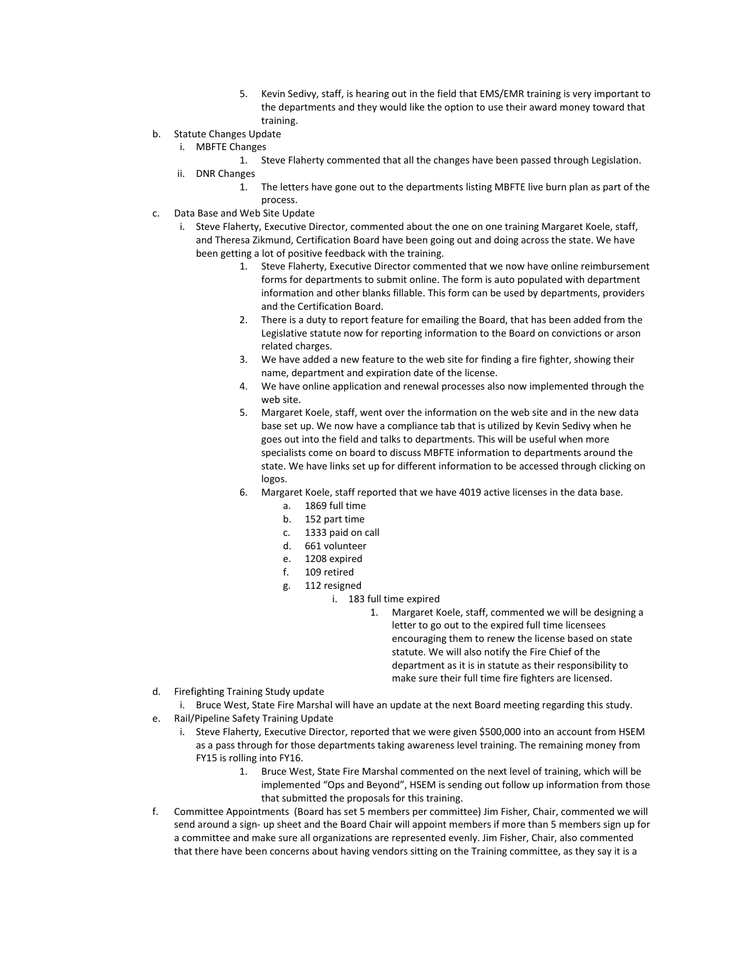- 5. Kevin Sedivy, staff, is hearing out in the field that EMS/EMR training is very important to the departments and they would like the option to use their award money toward that training.
- b. Statute Changes Update
	- i. MBFTE Changes
		- 1. Steve Flaherty commented that all the changes have been passed through Legislation.
	- ii. DNR Changes
		- 1. The letters have gone out to the departments listing MBFTE live burn plan as part of the process.
- c. Data Base and Web Site Update
	- i. Steve Flaherty, Executive Director, commented about the one on one training Margaret Koele, staff, and Theresa Zikmund, Certification Board have been going out and doing across the state. We have been getting a lot of positive feedback with the training.
		- 1. Steve Flaherty, Executive Director commented that we now have online reimbursement forms for departments to submit online. The form is auto populated with department information and other blanks fillable. This form can be used by departments, providers and the Certification Board.
		- 2. There is a duty to report feature for emailing the Board, that has been added from the Legislative statute now for reporting information to the Board on convictions or arson related charges.
		- 3. We have added a new feature to the web site for finding a fire fighter, showing their name, department and expiration date of the license.
		- 4. We have online application and renewal processes also now implemented through the web site.
		- 5. Margaret Koele, staff, went over the information on the web site and in the new data base set up. We now have a compliance tab that is utilized by Kevin Sedivy when he goes out into the field and talks to departments. This will be useful when more specialists come on board to discuss MBFTE information to departments around the state. We have links set up for different information to be accessed through clicking on logos.
		- 6. Margaret Koele, staff reported that we have 4019 active licenses in the data base.
			- a. 1869 full time
			- b. 152 part time
			- c. 1333 paid on call
			- d. 661 volunteer
			- e. 1208 expired
			- f. 109 retired
			- g. 112 resigned
				- i. 183 full time expired
					- 1. Margaret Koele, staff, commented we will be designing a letter to go out to the expired full time licensees encouraging them to renew the license based on state statute. We will also notify the Fire Chief of the department as it is in statute as their responsibility to make sure their full time fire fighters are licensed.
- d. Firefighting Training Study update
- i. Bruce West, State Fire Marshal will have an update at the next Board meeting regarding this study. e. Rail/Pipeline Safety Training Update
	- i. Steve Flaherty, Executive Director, reported that we were given \$500,000 into an account from HSEM as a pass through for those departments taking awareness level training. The remaining money from FY15 is rolling into FY16.
		- 1. Bruce West, State Fire Marshal commented on the next level of training, which will be implemented "Ops and Beyond", HSEM is sending out follow up information from those that submitted the proposals for this training.
- f. Committee Appointments (Board has set 5 members per committee) Jim Fisher, Chair, commented we will send around a sign- up sheet and the Board Chair will appoint members if more than 5 members sign up for a committee and make sure all organizations are represented evenly. Jim Fisher, Chair, also commented that there have been concerns about having vendors sitting on the Training committee, as they say it is a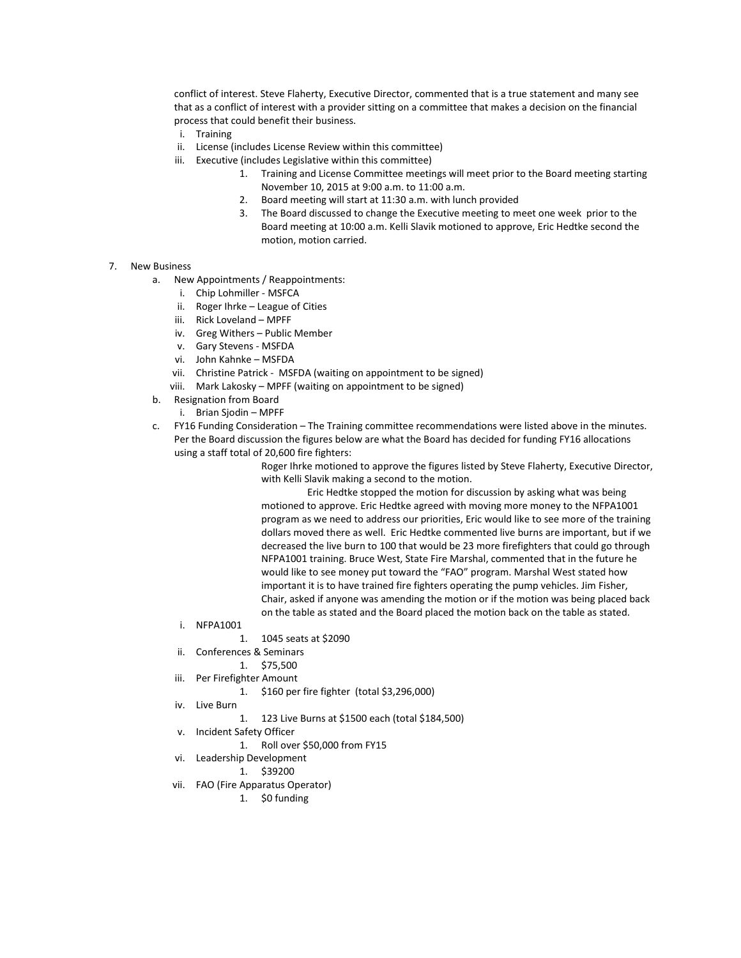conflict of interest. Steve Flaherty, Executive Director, commented that is a true statement and many see that as a conflict of interest with a provider sitting on a committee that makes a decision on the financial process that could benefit their business.

- i. Training
- ii. License (includes License Review within this committee)
- iii. Executive (includes Legislative within this committee)
	- 1. Training and License Committee meetings will meet prior to the Board meeting starting November 10, 2015 at 9:00 a.m. to 11:00 a.m.
	- 2. Board meeting will start at 11:30 a.m. with lunch provided
	- 3. The Board discussed to change the Executive meeting to meet one week prior to the Board meeting at 10:00 a.m. Kelli Slavik motioned to approve, Eric Hedtke second the motion, motion carried.
- 7. New Business
	- a. New Appointments / Reappointments:
		- i. Chip Lohmiller MSFCA
		- ii. Roger Ihrke League of Cities
		- iii. Rick Loveland MPFF
		- iv. Greg Withers Public Member
		- v. Gary Stevens MSFDA
		- vi. John Kahnke MSFDA
		- vii. Christine Patrick MSFDA (waiting on appointment to be signed)

viii. Mark Lakosky – MPFF (waiting on appointment to be signed)

- b. Resignation from Board
	- i. Brian Sjodin MPFF
- c. FY16 Funding Consideration The Training committee recommendations were listed above in the minutes. Per the Board discussion the figures below are what the Board has decided for funding FY16 allocations using a staff total of 20,600 fire fighters:

Roger Ihrke motioned to approve the figures listed by Steve Flaherty, Executive Director, with Kelli Slavik making a second to the motion.

Eric Hedtke stopped the motion for discussion by asking what was being motioned to approve. Eric Hedtke agreed with moving more money to the NFPA1001 program as we need to address our priorities, Eric would like to see more of the training dollars moved there as well. Eric Hedtke commented live burns are important, but if we decreased the live burn to 100 that would be 23 more firefighters that could go through NFPA1001 training. Bruce West, State Fire Marshal, commented that in the future he would like to see money put toward the "FAO" program. Marshal West stated how important it is to have trained fire fighters operating the pump vehicles. Jim Fisher, Chair, asked if anyone was amending the motion or if the motion was being placed back on the table as stated and the Board placed the motion back on the table as stated.

- i. NFPA1001
	- 1. 1045 seats at \$2090
- ii. Conferences & Seminars
	- 1. \$75,500
- iii. Per Firefighter Amount

1. \$160 per fire fighter (total \$3,296,000)

- iv. Live Burn
	- 1. 123 Live Burns at \$1500 each (total \$184,500)
- v. Incident Safety Officer
	- 1. Roll over \$50,000 from FY15
- vi. Leadership Development
	- 1. \$39200
- vii. FAO (Fire Apparatus Operator)
	- 1. \$0 funding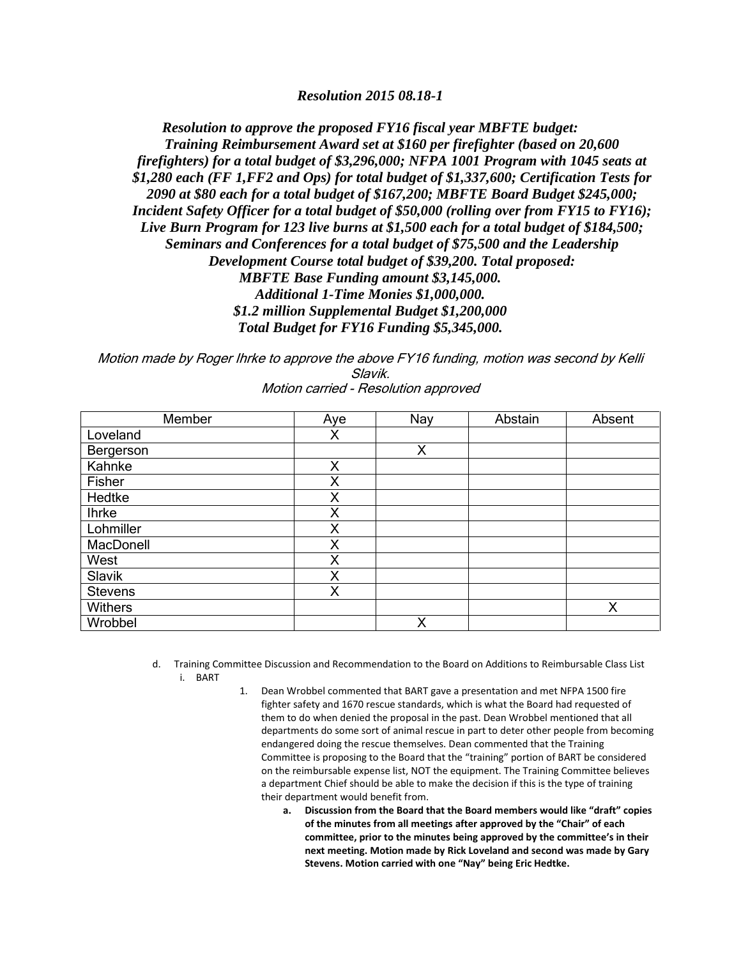*Resolution 2015 08.18-1*

*Resolution to approve the proposed FY16 fiscal year MBFTE budget: Training Reimbursement Award set at \$160 per firefighter (based on 20,600 firefighters) for a total budget of \$3,296,000; NFPA 1001 Program with 1045 seats at \$1,280 each (FF 1,FF2 and Ops) for total budget of \$1,337,600; Certification Tests for 2090 at \$80 each for a total budget of \$167,200; MBFTE Board Budget \$245,000; Incident Safety Officer for a total budget of \$50,000 (rolling over from FY15 to FY16); Live Burn Program for 123 live burns at \$1,500 each for a total budget of \$184,500; Seminars and Conferences for a total budget of \$75,500 and the Leadership Development Course total budget of \$39,200. Total proposed: MBFTE Base Funding amount \$3,145,000. Additional 1-Time Monies \$1,000,000. \$1.2 million Supplemental Budget \$1,200,000 Total Budget for FY16 Funding \$5,345,000.*

Motion made by Roger Ihrke to approve the above FY16 funding, motion was second by Kelli Slavik. Motion carried - Resolution approved

| Member         | Aye | Nay | Abstain | Absent |
|----------------|-----|-----|---------|--------|
| Loveland       | X   |     |         |        |
| Bergerson      |     | X   |         |        |
| Kahnke         | X   |     |         |        |
| Fisher         | Χ   |     |         |        |
| Hedtke         | Χ   |     |         |        |
| <b>Ihrke</b>   | Χ   |     |         |        |
| Lohmiller      | X   |     |         |        |
| MacDonell      | Χ   |     |         |        |
| West           | Χ   |     |         |        |
| Slavik         | X   |     |         |        |
| <b>Stevens</b> | Χ   |     |         |        |
| Withers        |     |     |         | X      |
| Wrobbel        |     | X   |         |        |

d. Training Committee Discussion and Recommendation to the Board on Additions to Reimbursable Class List i. BART

- 1. Dean Wrobbel commented that BART gave a presentation and met NFPA 1500 fire fighter safety and 1670 rescue standards, which is what the Board had requested of them to do when denied the proposal in the past. Dean Wrobbel mentioned that all departments do some sort of animal rescue in part to deter other people from becoming endangered doing the rescue themselves. Dean commented that the Training Committee is proposing to the Board that the "training" portion of BART be considered on the reimbursable expense list, NOT the equipment. The Training Committee believes a department Chief should be able to make the decision if this is the type of training their department would benefit from.
	- **a. Discussion from the Board that the Board members would like "draft" copies of the minutes from all meetings after approved by the "Chair" of each committee, prior to the minutes being approved by the committee's in their next meeting. Motion made by Rick Loveland and second was made by Gary Stevens. Motion carried with one "Nay" being Eric Hedtke.**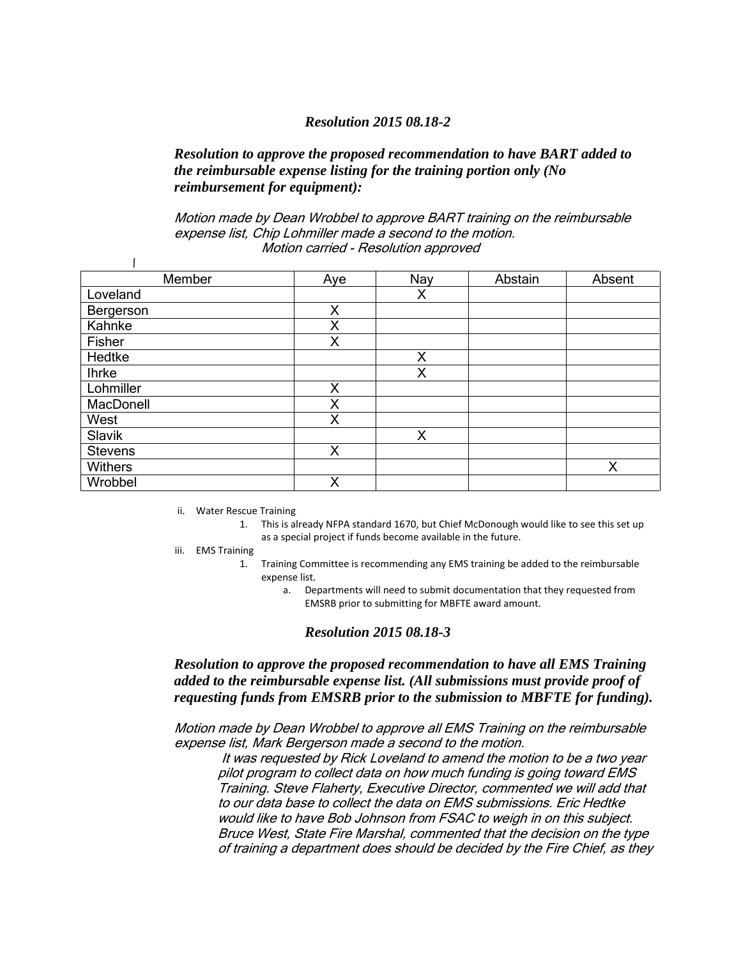#### *Resolution 2015 08.18-2*

## *Resolution to approve the proposed recommendation to have BART added to the reimbursable expense listing for the training portion only (No reimbursement for equipment):*

Motion made by Dean Wrobbel to approve BART training on the reimbursable expense list, Chip Lohmiller made a second to the motion. Motion carried - Resolution approved

| Member         | Aye | Nay | Abstain | Absent |
|----------------|-----|-----|---------|--------|
| Loveland       |     | X   |         |        |
| Bergerson      | Χ   |     |         |        |
| Kahnke         | X   |     |         |        |
| Fisher         | Χ   |     |         |        |
| Hedtke         |     | X   |         |        |
| <b>Ihrke</b>   |     | X   |         |        |
| Lohmiller      | X   |     |         |        |
| MacDonell      | Χ   |     |         |        |
| West           | X   |     |         |        |
| Slavik         |     | X   |         |        |
| <b>Stevens</b> | Χ   |     |         |        |
| Withers        |     |     |         | X      |
| Wrobbel        | Χ   |     |         |        |

ii. Water Rescue Training

- 1. This is already NFPA standard 1670, but Chief McDonough would like to see this set up as a special project if funds become available in the future.
- iii. EMS Training

 $\mathbf{I}$ 

- 1. Training Committee is recommending any EMS training be added to the reimbursable expense list.
	- a. Departments will need to submit documentation that they requested from EMSRB prior to submitting for MBFTE award amount.

#### *Resolution 2015 08.18-3*

*Resolution to approve the proposed recommendation to have all EMS Training added to the reimbursable expense list. (All submissions must provide proof of requesting funds from EMSRB prior to the submission to MBFTE for funding).*

Motion made by Dean Wrobbel to approve all EMS Training on the reimbursable expense list, Mark Bergerson made a second to the motion.

It was requested by Rick Loveland to amend the motion to be a two year pilot program to collect data on how much funding is going toward EMS Training. Steve Flaherty, Executive Director, commented we will add that to our data base to collect the data on EMS submissions. Eric Hedtke would like to have Bob Johnson from FSAC to weigh in on this subject. Bruce West, State Fire Marshal, commented that the decision on the type of training a department does should be decided by the Fire Chief, as they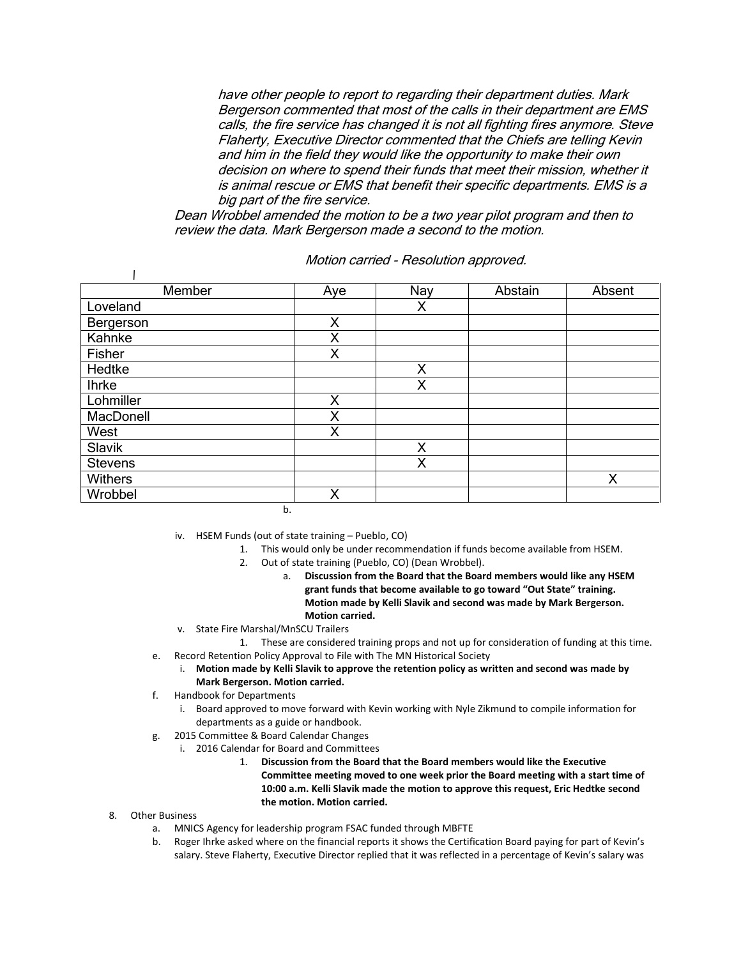have other people to report to regarding their department duties. Mark Bergerson commented that most of the calls in their department are EMS calls, the fire service has changed it is not all fighting fires anymore. Steve Flaherty, Executive Director commented that the Chiefs are telling Kevin and him in the field they would like the opportunity to make their own decision on where to spend their funds that meet their mission, whether it is animal rescue or EMS that benefit their specific departments. EMS is a big part of the fire service.

Dean Wrobbel amended the motion to be a two year pilot program and then to review the data. Mark Bergerson made a second to the motion.

| Member         | Aye | Nay | Abstain | Absent |
|----------------|-----|-----|---------|--------|
| Loveland       |     | Χ   |         |        |
| Bergerson      | X   |     |         |        |
| Kahnke         | Χ   |     |         |        |
| Fisher         | Χ   |     |         |        |
| Hedtke         |     | X   |         |        |
| <b>Ihrke</b>   |     | Χ   |         |        |
| Lohmiller      | X   |     |         |        |
| MacDonell      | X   |     |         |        |
| West           | X   |     |         |        |
| Slavik         |     | X   |         |        |
| <b>Stevens</b> |     | X   |         |        |
| Withers        |     |     |         | Χ      |
| Wrobbel        | Χ   |     |         |        |

Motion carried - Resolution approved.

b.

iv. HSEM Funds (out of state training – Pueblo, CO)

- 1. This would only be under recommendation if funds become available from HSEM.
- 2. Out of state training (Pueblo, CO) (Dean Wrobbel).
	- a. **Discussion from the Board that the Board members would like any HSEM grant funds that become available to go toward "Out State" training. Motion made by Kelli Slavik and second was made by Mark Bergerson. Motion carried.**
- v. State Fire Marshal/MnSCU Trailers
	- 1. These are considered training props and not up for consideration of funding at this time.
- e. Record Retention Policy Approval to File with The MN Historical Society
	- i. **Motion made by Kelli Slavik to approve the retention policy as written and second was made by Mark Bergerson. Motion carried.**
- f. Handbook for Departments
	- i. Board approved to move forward with Kevin working with Nyle Zikmund to compile information for departments as a guide or handbook.
- g. 2015 Committee & Board Calendar Changes
	- i. 2016 Calendar for Board and Committees
		- 1. **Discussion from the Board that the Board members would like the Executive Committee meeting moved to one week prior the Board meeting with a start time of 10:00 a.m. Kelli Slavik made the motion to approve this request, Eric Hedtke second the motion. Motion carried.**
- 8. Other Business

 $\mathbf{I}$ 

- a. MNICS Agency for leadership program FSAC funded through MBFTE
- b. Roger Ihrke asked where on the financial reports it shows the Certification Board paying for part of Kevin's salary. Steve Flaherty, Executive Director replied that it was reflected in a percentage of Kevin's salary was